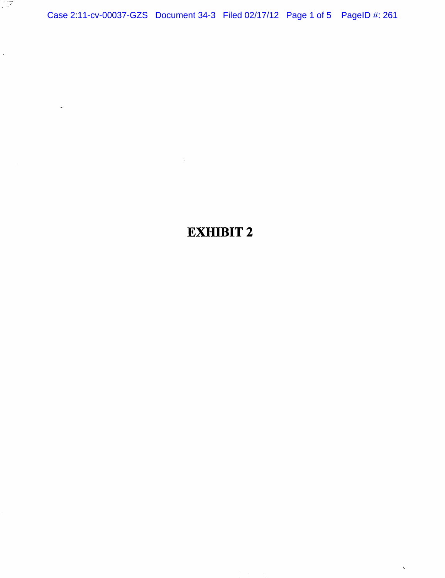Case 2:11-cv-00037-GZS Document 34-3 Filed 02/17/12 Page 1 of 5 PageID #: 261

्राष्ट्र

 $\hat{\mathcal{L}}$ 

 $\bar{\zeta}$ 

## EXHIBIT 2

 $\bar{\zeta}$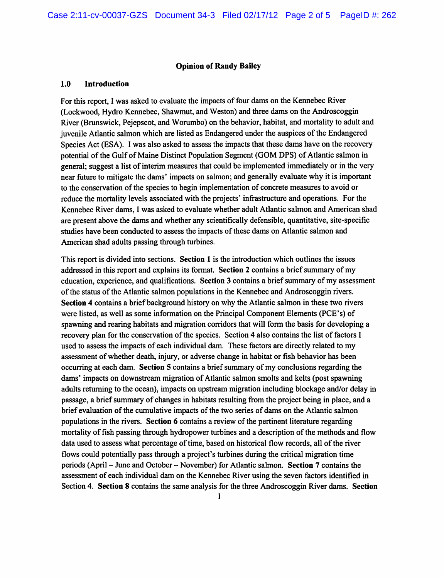## Opinion of Randy Bailey

## 1.0 Introduction

For this report, I was asked to evaluate the impacts of four dams on the Kennebec River (Lockwood, Hydro Kennebec, Shawmut, and Weston) and three dams on the Androscoggin River (Brunswick, Pejepscot, and Worumbo) on the behavior, habitat, and mortality to adult and juvenile Atlantic salmon which are listed as Endangered under the auspices of the Endangered Species Act (ESA). I was also asked to assess the impacts that these dams have on the recovery potential of the Gulf of Maine Distinct Population Segment (GOM DPS) of Atlantic salmon in general; suggest a list of interim measures that could be implemented immediately or in the very near future to mitigate the dams' impacts on salmon; and generally evaluate why it is important to the conservation of the species to begin implementation of concrete measures to avoid or reduce the mortality levels associated with the projects' infrastructure and operations. For the Kennebec River dams, I was asked to evaluate whether adult Atlantic salmon and American shad are present above the dams and whether any scientifically defensible, quantitative, site-specific studies have been conducted to assess the impacts of these dams on Atlantic salmon and American shad adults passing through turbines.

This report is divided into sections. Section 1 is the introduction which outlines the issues addressed in this report and explains its format. Section 2 contains a brief summary of my education, experience, and qualifications. Section 3 contains a brief summary of my assessment of the status of the Atlantic salmon populations in the Kennebec and Androscoggin rivers. Section 4 contains a brief background history on why the Atlantic salmon in these two rivers were listed, as well as some information on the Principal Component Elements (PCE's) of spawning and rearing habitats and migration corridors that will form the basis for developing a recovery plan for the conservation of the species. Section 4 also contains the list of factors I used to assess the impacts of each individual dam. These factors are directly related to my assessment of whether death, injury, or adverse change in habitat or fish behavior has been occurring at each dam. Section 5 contains a brief summary of my conclusions regarding the dams' impacts on downstream migration of Atlantic salmon smolts and kelts (post spawning adults returning to the ocean), impacts on upstream migration including blockage and/or delay in passage, a brief summary of changes in habitats resulting from the project being in place, and a brief evaluation of the cumulative impacts of the two series of dams on the Atlantic salmon populations in the rivers. Section 6 contains a review of the pertinent literature regarding mortality of fish passing through hydropower turbines and a description of the methods and flow data used to assess what percentage of time, based on historical flow records, all of the river flows could potentially pass through a project's turbines during the critical migration time periods (April - June and October - November) for Atlantic salmon. Section 7 contains the assessment of each individual dam on the Kennebec River using the seven factors identified in Section 4. Section 8 contains the same analysis for the three Androscoggin River dams. Section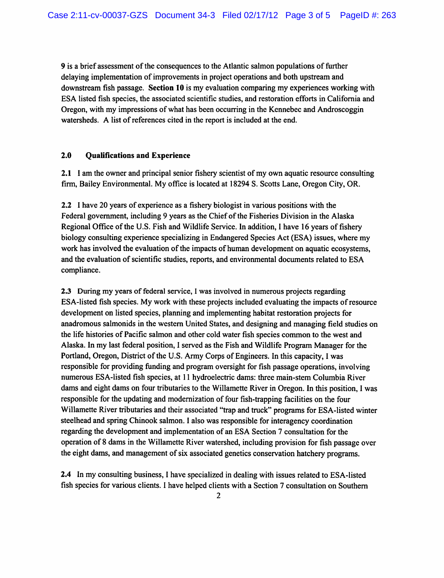9 is a brief assessment of the consequences to the Atlantic salmon populations of further delaying implementation of improvements in project operations and both upstream and downstream fish passage. Section 10 is my evaluation comparing my experiences working with ESA listed fish species, the associated scientific studies, and restoration efforts in California and Oregon, with my impressions of what has been occurring in the Kennebec and Androscoggin watersheds. A list of references cited in the report is included at the end.

## 2.0 Qualifications and Experience

2.1 I am the owner and principal senior fishery scientist of my own aquatic resource consulting firm, Bailey Environmental. My office is located at 18294 S. Scotts Lane, Oregon City, OR.

2.2 I have 20 years of experience as a fishery biologist in various positions with the Federal government, including 9 years as the Chief of the Fisheries Division in the Alaska Regional Office of the U.S. Fish and Wildlife Service. In addition, 1 have 16 years of fishery biology consulting experience specializing in Endangered Species Act (ESA) issues, where my work has involved the evaluation of the impacts of human development on aquatic ecosystems, and the evaluation of scientific studies, reports, and environmental documents related to ESA compliance.

2.3 During my years of federal service, I was involved in numerous projects regarding ESA-listed fish species. My work with these projects included evaluating the impacts of resource development on listed species, planning and implementing habitat restoration projects for anadromous salmonids in the western United States, and designing and managing field studies on the life histories of Pacific salmon and other cold water fish species common to the west and Alaska. In my last federal position, I served as the Fish and Wildlife Program Manager for the Portland, Oregon, District of the U.S. Army Corps of Engineers. In this capacity, I was responsible for providing funding and program oversight for fish passage operations, involving numerous ESA-listed fish species, at 11 hydroelectric dams: three main-stem Columbia River dams and eight dams on four tributaries to the Willamette River in Oregon. In this position, I was responsible for the updating and modernization of four fish-trapping facilities on the four Willamette River tributaries and their associated "trap and truck" programs for ESA-listed winter steelhead and spring Chinook salmon. I also was responsible for interagency coordination regarding the development and implementation of an ESA Section 7 consultation for the operation of 8 dams in the Willamette River watershed, including provision for fish passage over the eight dams, and management of six associated genetics conservation hatchery programs.

2.4 In my consulting business, I have specialized in dealing with issues related to ESA-listed fish species for various clients. I have helped clients with a Section 7 consultation on Southern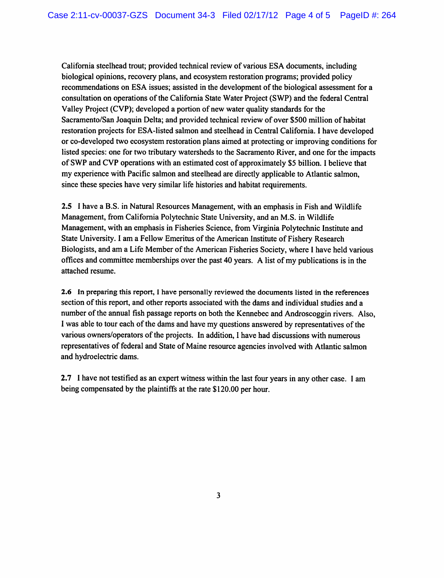California steelhead trout; provided technical review of various ESA documents, including biological opinions, recovery plans, and ecosystem restoration programs; provided policy recommendations on ESA issues; assisted in the development of the biological assessment for a consultation on operations of the California State Water Project (SWP) and the federal Central Valley Project (CVP); developed a portion of new water quality standards for the Sacramento/San Joaquin Delta; and provided technical review of over \$500 million of habitat restoration projects for ESA-listed salmon and steelhead in Central California. I have developed or co-developed two ecosystem restoration plans aimed at protecting or improving conditions for listed species: one for two tributary watersheds to the Sacramento River, and one for the impacts of SWP and CVP operations with an estimated cost of approximately \$5 billion. I believe that my experience with Pacific salmon and steelhead are directly applicable to Atlantic salmon, since these species have very similar life histories and habitat requirements.

2.5 I have a B.S. in Natural Resources Management, with an emphasis in Fish and Wildlife Management, from California Polytechnic State University, and an M.S. in Wildlife Management, with an emphasis in Fisheries Science, from Virginia Polytechnic Institute and State University. I am a Fellow Emeritus of the American Institute of Fishery Research Biologists, and am a Life Member of the American Fisheries Society, where I have held various offices and committee memberships over the past 40 years. A list of my publications is in the attached resume.

2.6 In preparing this report, I have personally reviewed the documents listed in the references section of this report, and other reports associated with the dams and individual studies and a number of the annual fish passage reports on both the Kennebec and Androscoggin rivers. Also, I was able to tour each of the dams and have my questions answered by representatives of the various owners/operators of the projects. In addition, I have had discussions with numerous representatives of federal and State of Maine resource agencies involved with Atlantic salmon and hydroelectric dams.

2.7 I have not testified as an expert witness within the last four years in any other case. I am being compensated by the plaintiffs at the rate \$120.00 per hour.